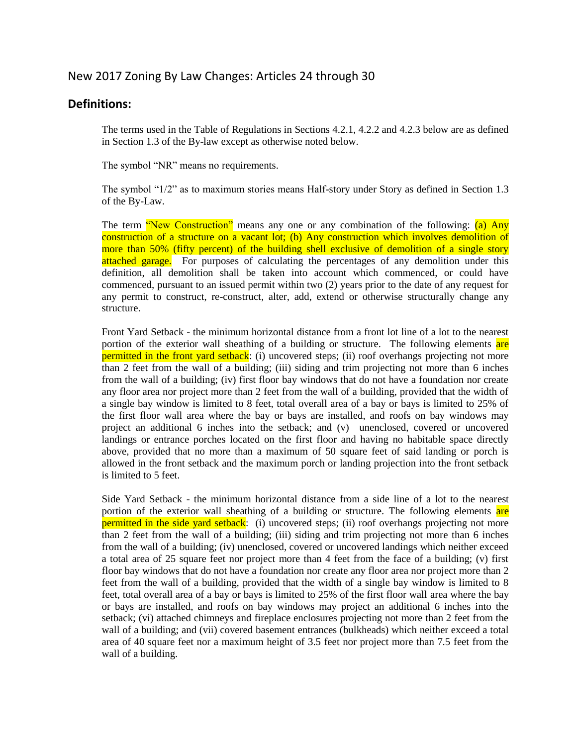## New 2017 Zoning By Law Changes: Articles 24 through 30

## **Definitions:**

The terms used in the Table of Regulations in Sections 4.2.1, 4.2.2 and 4.2.3 below are as defined in Section 1.3 of the By-law except as otherwise noted below.

The symbol "NR" means no requirements.

The symbol "1/2" as to maximum stories means Half-story under Story as defined in Section 1.3 of the By-Law.

The term "New Construction" means any one or any combination of the following: (a) Any construction of a structure on a vacant lot; (b) Any construction which involves demolition of more than 50% (fifty percent) of the building shell exclusive of demolition of a single story attached garage. For purposes of calculating the percentages of any demolition under this definition, all demolition shall be taken into account which commenced, or could have commenced, pursuant to an issued permit within two (2) years prior to the date of any request for any permit to construct, re-construct, alter, add, extend or otherwise structurally change any structure.

Front Yard Setback - the minimum horizontal distance from a front lot line of a lot to the nearest portion of the exterior wall sheathing of a building or structure. The following elements are permitted in the front yard setback: (i) uncovered steps; (ii) roof overhangs projecting not more than 2 feet from the wall of a building; (iii) siding and trim projecting not more than 6 inches from the wall of a building; (iv) first floor bay windows that do not have a foundation nor create any floor area nor project more than 2 feet from the wall of a building, provided that the width of a single bay window is limited to 8 feet, total overall area of a bay or bays is limited to 25% of the first floor wall area where the bay or bays are installed, and roofs on bay windows may project an additional 6 inches into the setback; and (v) unenclosed, covered or uncovered landings or entrance porches located on the first floor and having no habitable space directly above, provided that no more than a maximum of 50 square feet of said landing or porch is allowed in the front setback and the maximum porch or landing projection into the front setback is limited to 5 feet.

Side Yard Setback - the minimum horizontal distance from a side line of a lot to the nearest portion of the exterior wall sheathing of a building or structure. The following elements are permitted in the side yard setback: (i) uncovered steps; (ii) roof overhangs projecting not more than 2 feet from the wall of a building; (iii) siding and trim projecting not more than 6 inches from the wall of a building; (iv) unenclosed, covered or uncovered landings which neither exceed a total area of 25 square feet nor project more than 4 feet from the face of a building; (v) first floor bay windows that do not have a foundation nor create any floor area nor project more than 2 feet from the wall of a building, provided that the width of a single bay window is limited to 8 feet, total overall area of a bay or bays is limited to 25% of the first floor wall area where the bay or bays are installed, and roofs on bay windows may project an additional 6 inches into the setback; (vi) attached chimneys and fireplace enclosures projecting not more than 2 feet from the wall of a building; and (vii) covered basement entrances (bulkheads) which neither exceed a total area of 40 square feet nor a maximum height of 3.5 feet nor project more than 7.5 feet from the wall of a building.